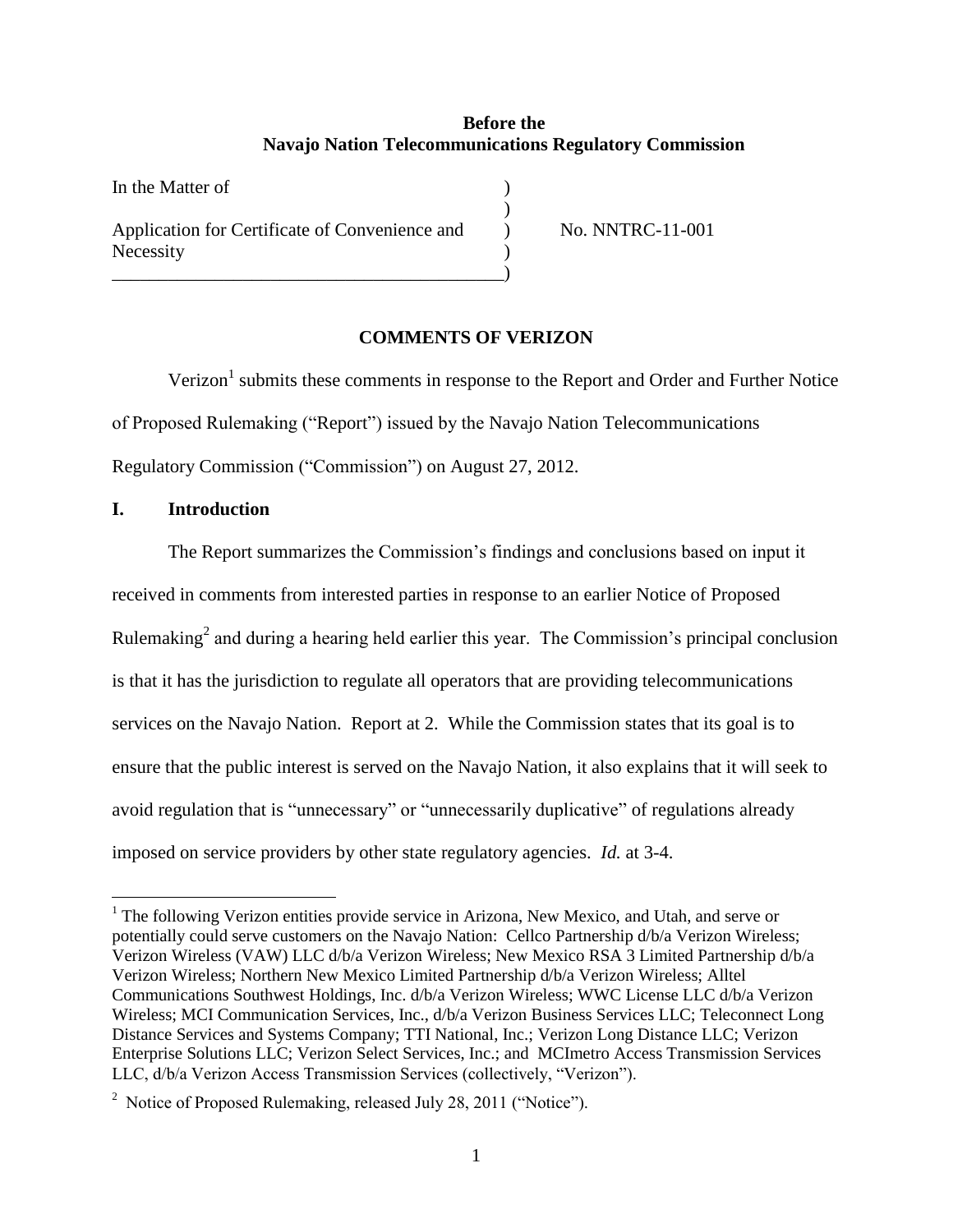# **Before the Navajo Nation Telecommunications Regulatory Commission**

| In the Matter of                                            |  |
|-------------------------------------------------------------|--|
| Application for Certificate of Convenience and<br>Necessity |  |
|                                                             |  |

) No. NNTRC-11-001

## **COMMENTS OF VERIZON**

Verizon<sup>1</sup> submits these comments in response to the Report and Order and Further Notice of Proposed Rulemaking ("Report") issued by the Navajo Nation Telecommunications Regulatory Commission ("Commission") on August 27, 2012.

## **I. Introduction**

 $\overline{a}$ 

The Report summarizes the Commission's findings and conclusions based on input it received in comments from interested parties in response to an earlier Notice of Proposed Rulemaking<sup>2</sup> and during a hearing held earlier this year. The Commission's principal conclusion is that it has the jurisdiction to regulate all operators that are providing telecommunications services on the Navajo Nation. Report at 2. While the Commission states that its goal is to ensure that the public interest is served on the Navajo Nation, it also explains that it will seek to avoid regulation that is "unnecessary" or "unnecessarily duplicative" of regulations already imposed on service providers by other state regulatory agencies. *Id.* at 3-4.

<sup>&</sup>lt;sup>1</sup> The following Verizon entities provide service in Arizona, New Mexico, and Utah, and serve or potentially could serve customers on the Navajo Nation: Cellco Partnership d/b/a Verizon Wireless; Verizon Wireless (VAW) LLC d/b/a Verizon Wireless; New Mexico RSA 3 Limited Partnership d/b/a Verizon Wireless; Northern New Mexico Limited Partnership d/b/a Verizon Wireless; Alltel Communications Southwest Holdings, Inc. d/b/a Verizon Wireless; WWC License LLC d/b/a Verizon Wireless; MCI Communication Services, Inc., d/b/a Verizon Business Services LLC; Teleconnect Long Distance Services and Systems Company; TTI National, Inc.; Verizon Long Distance LLC; Verizon Enterprise Solutions LLC; Verizon Select Services, Inc.; and MCImetro Access Transmission Services LLC, d/b/a Verizon Access Transmission Services (collectively, "Verizon").

<sup>&</sup>lt;sup>2</sup> Notice of Proposed Rulemaking, released July 28, 2011 ("Notice").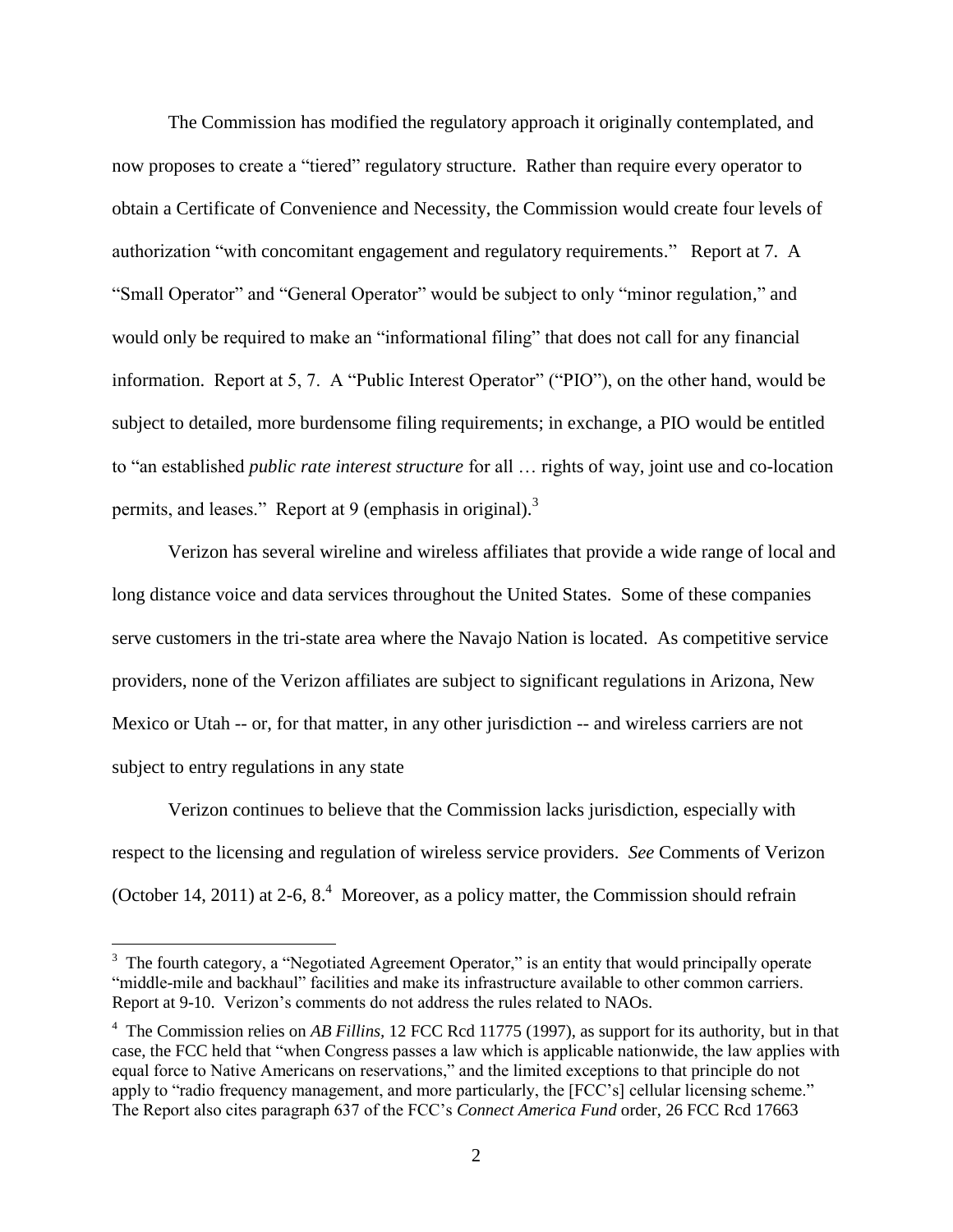The Commission has modified the regulatory approach it originally contemplated, and now proposes to create a "tiered" regulatory structure. Rather than require every operator to obtain a Certificate of Convenience and Necessity, the Commission would create four levels of authorization "with concomitant engagement and regulatory requirements." Report at 7. A "Small Operator" and "General Operator" would be subject to only "minor regulation," and would only be required to make an "informational filing" that does not call for any financial information. Report at 5, 7. A "Public Interest Operator" ("PIO"), on the other hand, would be subject to detailed, more burdensome filing requirements; in exchange, a PIO would be entitled to "an established *public rate interest structure* for all … rights of way, joint use and co-location permits, and leases." Report at 9 (emphasis in original).<sup>3</sup>

Verizon has several wireline and wireless affiliates that provide a wide range of local and long distance voice and data services throughout the United States. Some of these companies serve customers in the tri-state area where the Navajo Nation is located. As competitive service providers, none of the Verizon affiliates are subject to significant regulations in Arizona, New Mexico or Utah -- or, for that matter, in any other jurisdiction -- and wireless carriers are not subject to entry regulations in any state

Verizon continues to believe that the Commission lacks jurisdiction, especially with respect to the licensing and regulation of wireless service providers. *See* Comments of Verizon (October 14, 2011) at 2-6,  $8<sup>4</sup>$  Moreover, as a policy matter, the Commission should refrain

 $\overline{a}$ 

<sup>&</sup>lt;sup>3</sup> The fourth category, a "Negotiated Agreement Operator," is an entity that would principally operate "middle-mile and backhaul" facilities and make its infrastructure available to other common carriers. Report at 9-10. Verizon's comments do not address the rules related to NAOs.

<sup>&</sup>lt;sup>4</sup> The Commission relies on *AB Fillins*, 12 FCC Rcd 11775 (1997), as support for its authority, but in that case, the FCC held that "when Congress passes a law which is applicable nationwide, the law applies with equal force to Native Americans on reservations," and the limited exceptions to that principle do not apply to "radio frequency management, and more particularly, the [FCC's] cellular licensing scheme." The Report also cites paragraph 637 of the FCC's *Connect America Fund* order, 26 FCC Rcd 17663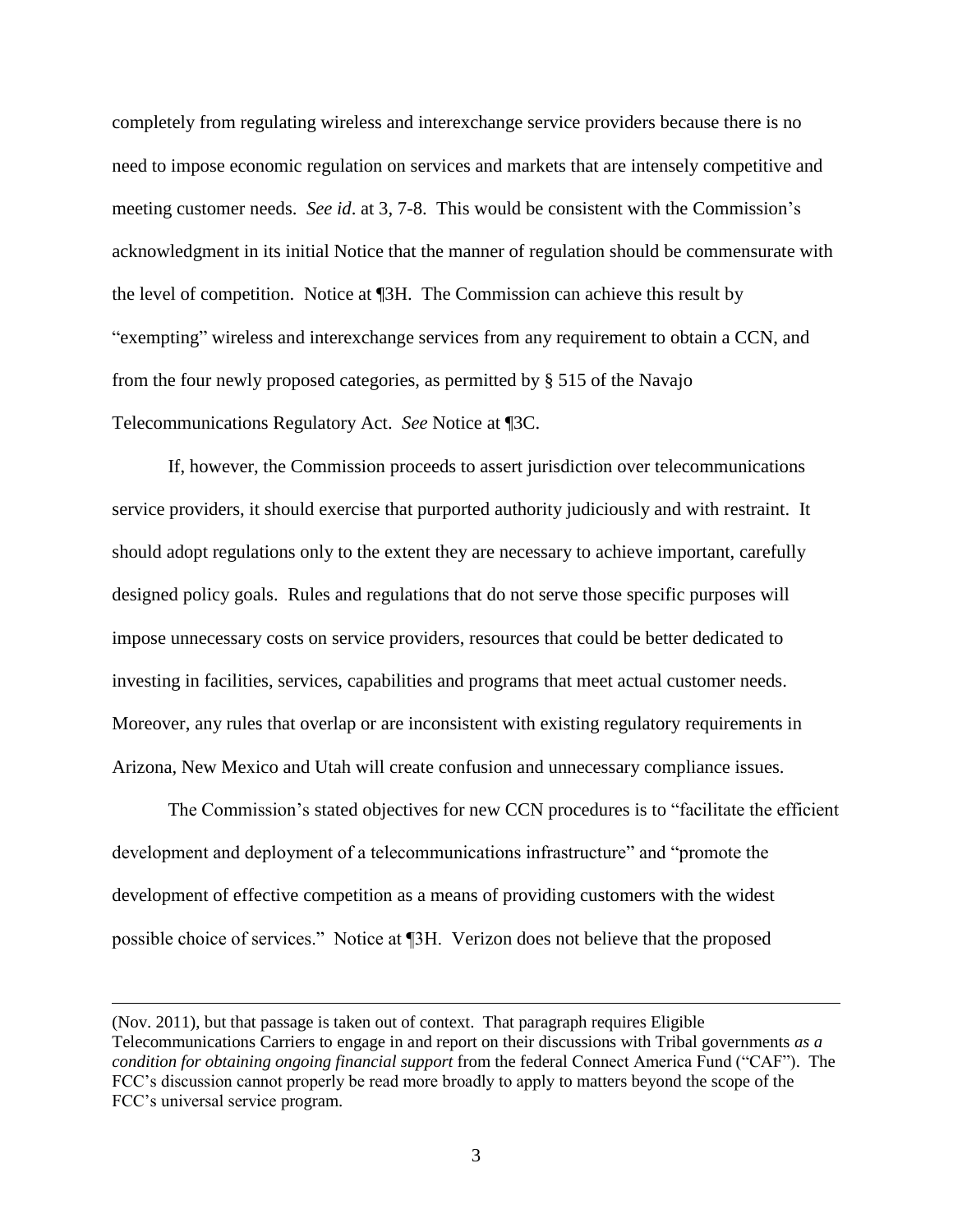completely from regulating wireless and interexchange service providers because there is no need to impose economic regulation on services and markets that are intensely competitive and meeting customer needs. *See id*. at 3, 7-8. This would be consistent with the Commission's acknowledgment in its initial Notice that the manner of regulation should be commensurate with the level of competition. Notice at ¶3H. The Commission can achieve this result by "exempting" wireless and interexchange services from any requirement to obtain a CCN, and from the four newly proposed categories, as permitted by § 515 of the Navajo Telecommunications Regulatory Act. *See* Notice at ¶3C.

If, however, the Commission proceeds to assert jurisdiction over telecommunications service providers, it should exercise that purported authority judiciously and with restraint. It should adopt regulations only to the extent they are necessary to achieve important, carefully designed policy goals. Rules and regulations that do not serve those specific purposes will impose unnecessary costs on service providers, resources that could be better dedicated to investing in facilities, services, capabilities and programs that meet actual customer needs. Moreover, any rules that overlap or are inconsistent with existing regulatory requirements in Arizona, New Mexico and Utah will create confusion and unnecessary compliance issues.

The Commission's stated objectives for new CCN procedures is to "facilitate the efficient development and deployment of a telecommunications infrastructure" and "promote the development of effective competition as a means of providing customers with the widest possible choice of services." Notice at ¶3H. Verizon does not believe that the proposed

 $\overline{a}$ 

<sup>(</sup>Nov. 2011), but that passage is taken out of context. That paragraph requires Eligible Telecommunications Carriers to engage in and report on their discussions with Tribal governments *as a condition for obtaining ongoing financial support* from the federal Connect America Fund ("CAF"). The FCC's discussion cannot properly be read more broadly to apply to matters beyond the scope of the FCC's universal service program.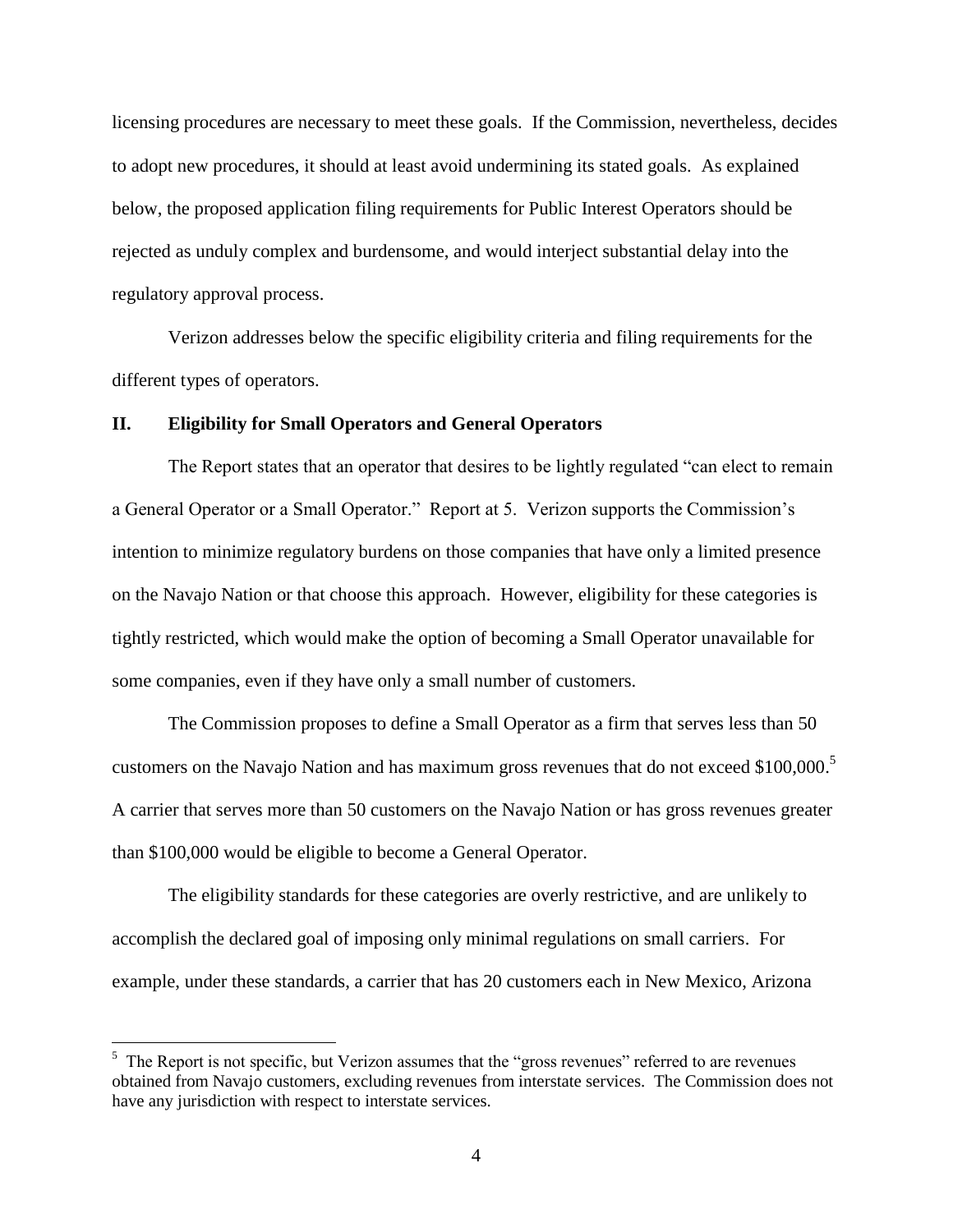licensing procedures are necessary to meet these goals. If the Commission, nevertheless, decides to adopt new procedures, it should at least avoid undermining its stated goals. As explained below, the proposed application filing requirements for Public Interest Operators should be rejected as unduly complex and burdensome, and would interject substantial delay into the regulatory approval process.

Verizon addresses below the specific eligibility criteria and filing requirements for the different types of operators.

#### **II. Eligibility for Small Operators and General Operators**

The Report states that an operator that desires to be lightly regulated "can elect to remain a General Operator or a Small Operator." Report at 5. Verizon supports the Commission's intention to minimize regulatory burdens on those companies that have only a limited presence on the Navajo Nation or that choose this approach. However, eligibility for these categories is tightly restricted, which would make the option of becoming a Small Operator unavailable for some companies, even if they have only a small number of customers.

The Commission proposes to define a Small Operator as a firm that serves less than 50 customers on the Navajo Nation and has maximum gross revenues that do not exceed \$100,000.<sup>5</sup> A carrier that serves more than 50 customers on the Navajo Nation or has gross revenues greater than \$100,000 would be eligible to become a General Operator.

The eligibility standards for these categories are overly restrictive, and are unlikely to accomplish the declared goal of imposing only minimal regulations on small carriers. For example, under these standards, a carrier that has 20 customers each in New Mexico, Arizona

<sup>&</sup>lt;sup>5</sup> The Report is not specific, but Verizon assumes that the "gross revenues" referred to are revenues obtained from Navajo customers, excluding revenues from interstate services. The Commission does not have any jurisdiction with respect to interstate services.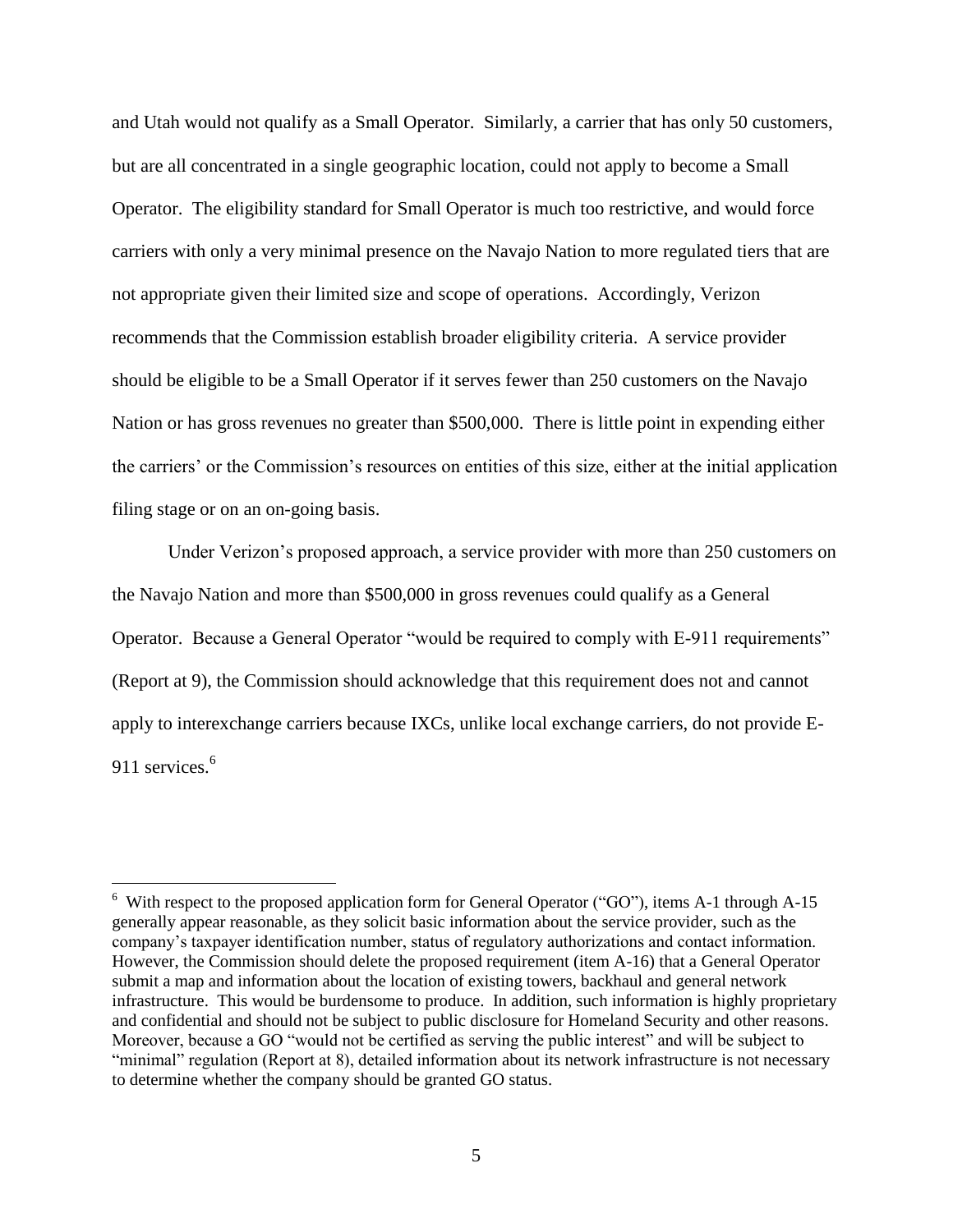and Utah would not qualify as a Small Operator. Similarly, a carrier that has only 50 customers, but are all concentrated in a single geographic location, could not apply to become a Small Operator. The eligibility standard for Small Operator is much too restrictive, and would force carriers with only a very minimal presence on the Navajo Nation to more regulated tiers that are not appropriate given their limited size and scope of operations. Accordingly, Verizon recommends that the Commission establish broader eligibility criteria. A service provider should be eligible to be a Small Operator if it serves fewer than 250 customers on the Navajo Nation or has gross revenues no greater than \$500,000. There is little point in expending either the carriers' or the Commission's resources on entities of this size, either at the initial application filing stage or on an on-going basis.

Under Verizon's proposed approach, a service provider with more than 250 customers on the Navajo Nation and more than \$500,000 in gross revenues could qualify as a General Operator. Because a General Operator "would be required to comply with E-911 requirements" (Report at 9), the Commission should acknowledge that this requirement does not and cannot apply to interexchange carriers because IXCs, unlike local exchange carriers, do not provide E-911 services.<sup>6</sup>

 $\overline{a}$ 

 $6\text{ With respect to the proposed application form for General Operator ("GO"), items A-1 through A-15.}$ generally appear reasonable, as they solicit basic information about the service provider, such as the company's taxpayer identification number, status of regulatory authorizations and contact information. However, the Commission should delete the proposed requirement (item A-16) that a General Operator submit a map and information about the location of existing towers, backhaul and general network infrastructure. This would be burdensome to produce. In addition, such information is highly proprietary and confidential and should not be subject to public disclosure for Homeland Security and other reasons. Moreover, because a GO "would not be certified as serving the public interest" and will be subject to "minimal" regulation (Report at 8), detailed information about its network infrastructure is not necessary to determine whether the company should be granted GO status.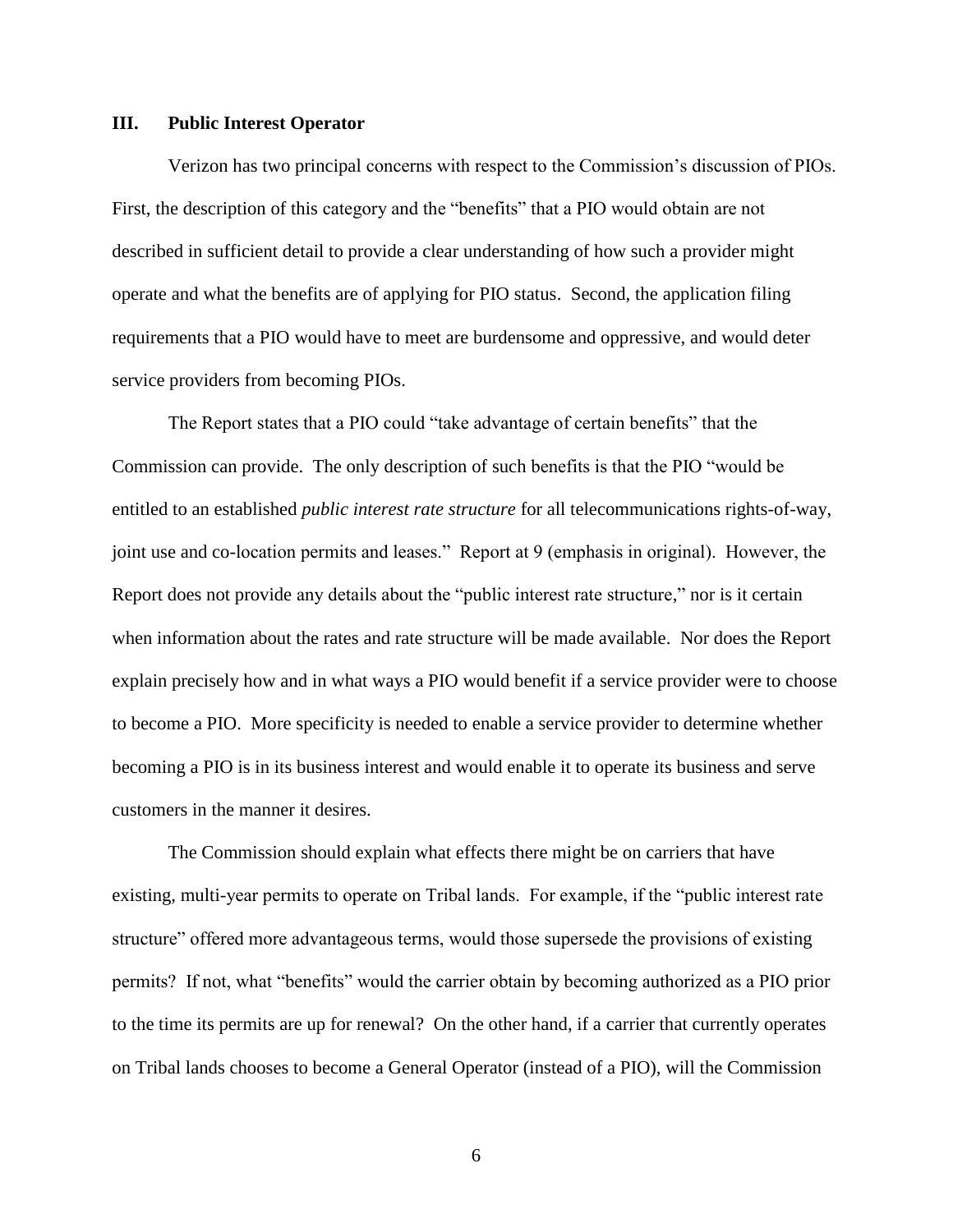#### **III. Public Interest Operator**

Verizon has two principal concerns with respect to the Commission's discussion of PIOs. First, the description of this category and the "benefits" that a PIO would obtain are not described in sufficient detail to provide a clear understanding of how such a provider might operate and what the benefits are of applying for PIO status. Second, the application filing requirements that a PIO would have to meet are burdensome and oppressive, and would deter service providers from becoming PIOs.

The Report states that a PIO could "take advantage of certain benefits" that the Commission can provide. The only description of such benefits is that the PIO "would be entitled to an established *public interest rate structure* for all telecommunications rights-of-way, joint use and co-location permits and leases." Report at 9 (emphasis in original). However, the Report does not provide any details about the "public interest rate structure," nor is it certain when information about the rates and rate structure will be made available. Nor does the Report explain precisely how and in what ways a PIO would benefit if a service provider were to choose to become a PIO. More specificity is needed to enable a service provider to determine whether becoming a PIO is in its business interest and would enable it to operate its business and serve customers in the manner it desires.

The Commission should explain what effects there might be on carriers that have existing, multi-year permits to operate on Tribal lands. For example, if the "public interest rate structure" offered more advantageous terms, would those supersede the provisions of existing permits? If not, what "benefits" would the carrier obtain by becoming authorized as a PIO prior to the time its permits are up for renewal? On the other hand, if a carrier that currently operates on Tribal lands chooses to become a General Operator (instead of a PIO), will the Commission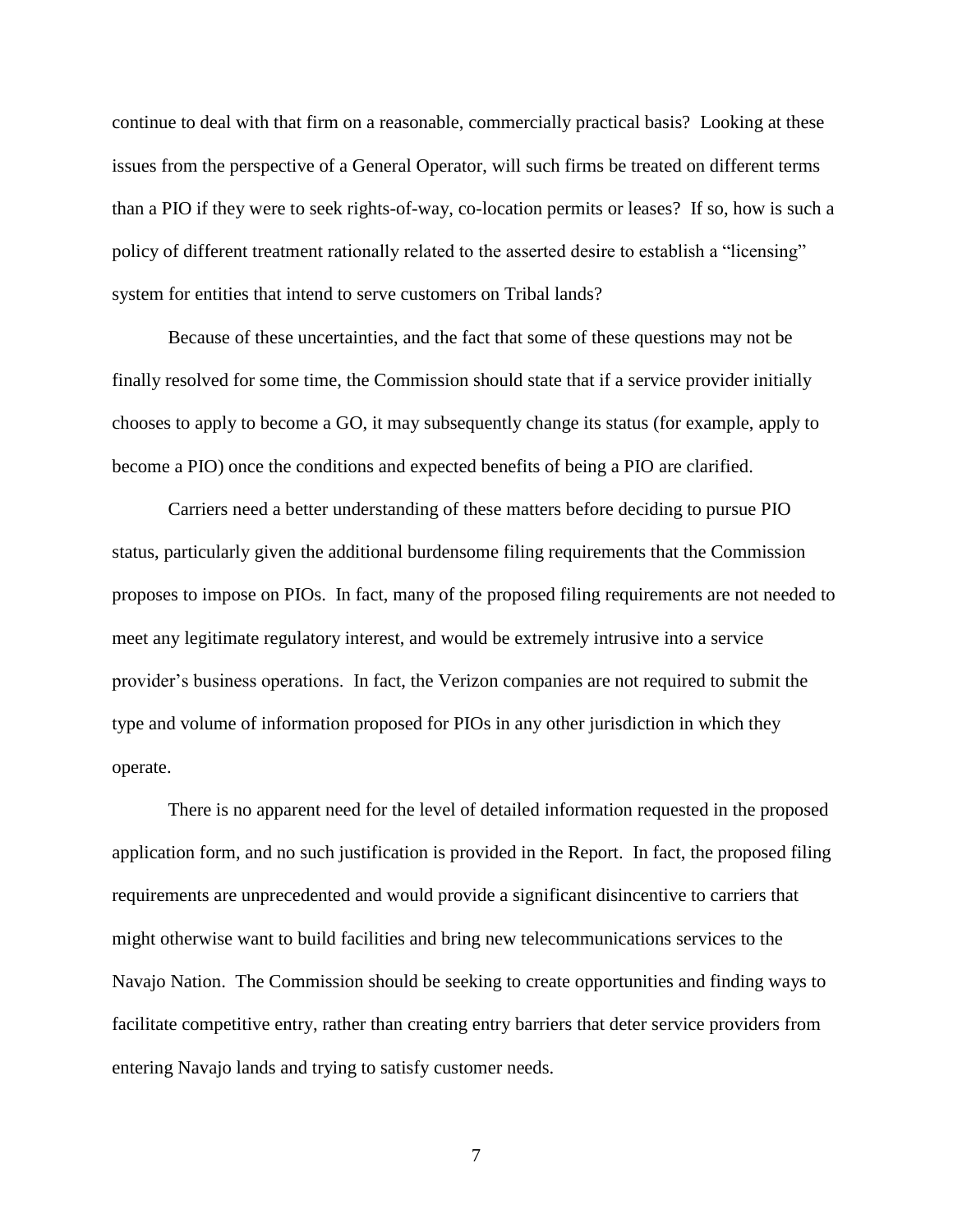continue to deal with that firm on a reasonable, commercially practical basis? Looking at these issues from the perspective of a General Operator, will such firms be treated on different terms than a PIO if they were to seek rights-of-way, co-location permits or leases? If so, how is such a policy of different treatment rationally related to the asserted desire to establish a "licensing" system for entities that intend to serve customers on Tribal lands?

Because of these uncertainties, and the fact that some of these questions may not be finally resolved for some time, the Commission should state that if a service provider initially chooses to apply to become a GO, it may subsequently change its status (for example, apply to become a PIO) once the conditions and expected benefits of being a PIO are clarified.

Carriers need a better understanding of these matters before deciding to pursue PIO status, particularly given the additional burdensome filing requirements that the Commission proposes to impose on PIOs. In fact, many of the proposed filing requirements are not needed to meet any legitimate regulatory interest, and would be extremely intrusive into a service provider's business operations. In fact, the Verizon companies are not required to submit the type and volume of information proposed for PIOs in any other jurisdiction in which they operate.

There is no apparent need for the level of detailed information requested in the proposed application form, and no such justification is provided in the Report. In fact, the proposed filing requirements are unprecedented and would provide a significant disincentive to carriers that might otherwise want to build facilities and bring new telecommunications services to the Navajo Nation. The Commission should be seeking to create opportunities and finding ways to facilitate competitive entry, rather than creating entry barriers that deter service providers from entering Navajo lands and trying to satisfy customer needs.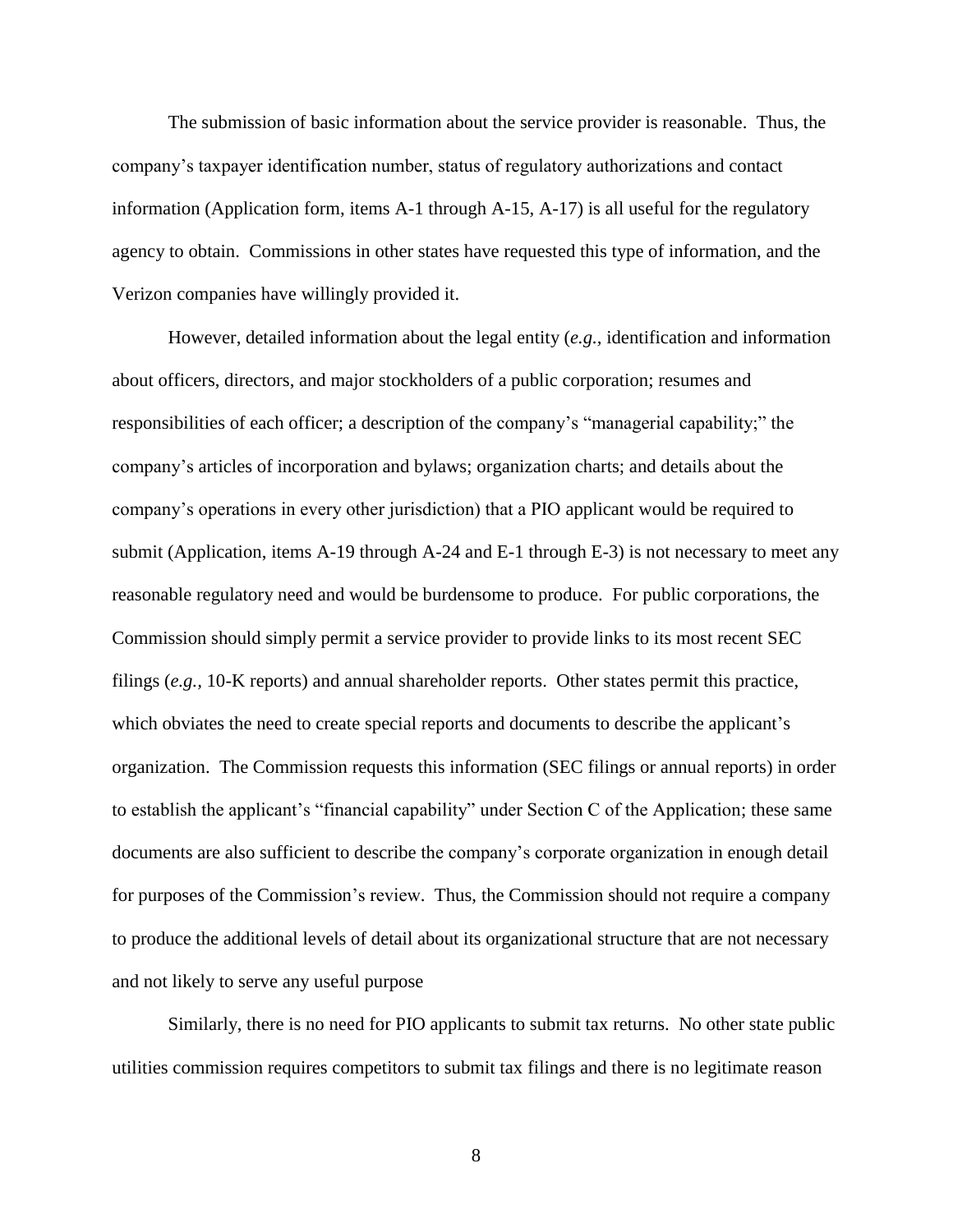The submission of basic information about the service provider is reasonable. Thus, the company's taxpayer identification number, status of regulatory authorizations and contact information (Application form, items A-1 through A-15, A-17) is all useful for the regulatory agency to obtain. Commissions in other states have requested this type of information, and the Verizon companies have willingly provided it.

However, detailed information about the legal entity (*e.g.,* identification and information about officers, directors, and major stockholders of a public corporation; resumes and responsibilities of each officer; a description of the company's "managerial capability;" the company's articles of incorporation and bylaws; organization charts; and details about the company's operations in every other jurisdiction) that a PIO applicant would be required to submit (Application, items A-19 through A-24 and E-1 through E-3) is not necessary to meet any reasonable regulatory need and would be burdensome to produce. For public corporations, the Commission should simply permit a service provider to provide links to its most recent SEC filings (*e.g.,* 10-K reports) and annual shareholder reports. Other states permit this practice, which obviates the need to create special reports and documents to describe the applicant's organization. The Commission requests this information (SEC filings or annual reports) in order to establish the applicant's "financial capability" under Section C of the Application; these same documents are also sufficient to describe the company's corporate organization in enough detail for purposes of the Commission's review. Thus, the Commission should not require a company to produce the additional levels of detail about its organizational structure that are not necessary and not likely to serve any useful purpose

Similarly, there is no need for PIO applicants to submit tax returns. No other state public utilities commission requires competitors to submit tax filings and there is no legitimate reason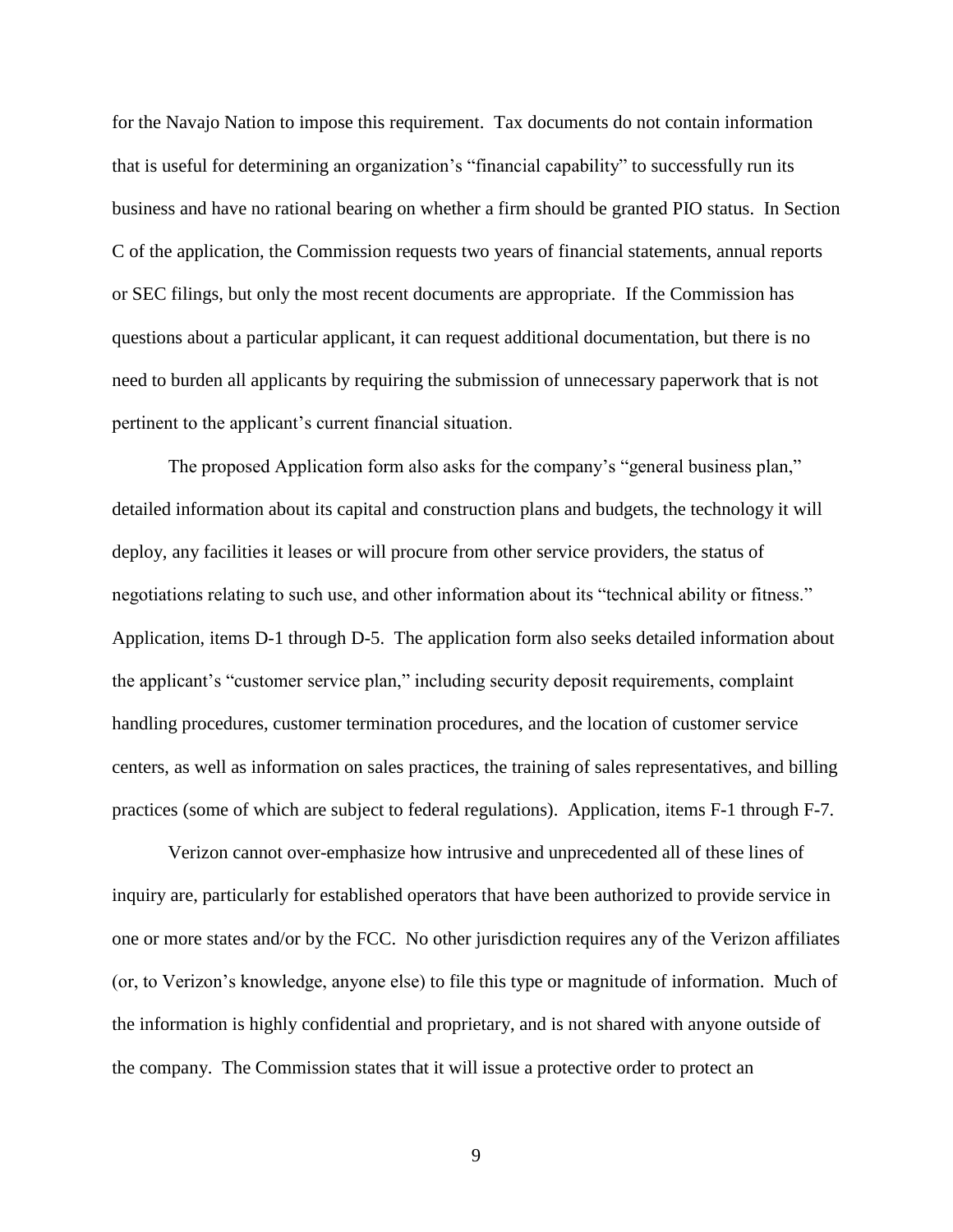for the Navajo Nation to impose this requirement. Tax documents do not contain information that is useful for determining an organization's "financial capability" to successfully run its business and have no rational bearing on whether a firm should be granted PIO status. In Section C of the application, the Commission requests two years of financial statements, annual reports or SEC filings, but only the most recent documents are appropriate. If the Commission has questions about a particular applicant, it can request additional documentation, but there is no need to burden all applicants by requiring the submission of unnecessary paperwork that is not pertinent to the applicant's current financial situation.

The proposed Application form also asks for the company's "general business plan," detailed information about its capital and construction plans and budgets, the technology it will deploy, any facilities it leases or will procure from other service providers, the status of negotiations relating to such use, and other information about its "technical ability or fitness." Application, items D-1 through D-5. The application form also seeks detailed information about the applicant's "customer service plan," including security deposit requirements, complaint handling procedures, customer termination procedures, and the location of customer service centers, as well as information on sales practices, the training of sales representatives, and billing practices (some of which are subject to federal regulations). Application, items F-1 through F-7.

Verizon cannot over-emphasize how intrusive and unprecedented all of these lines of inquiry are, particularly for established operators that have been authorized to provide service in one or more states and/or by the FCC. No other jurisdiction requires any of the Verizon affiliates (or, to Verizon's knowledge, anyone else) to file this type or magnitude of information. Much of the information is highly confidential and proprietary, and is not shared with anyone outside of the company. The Commission states that it will issue a protective order to protect an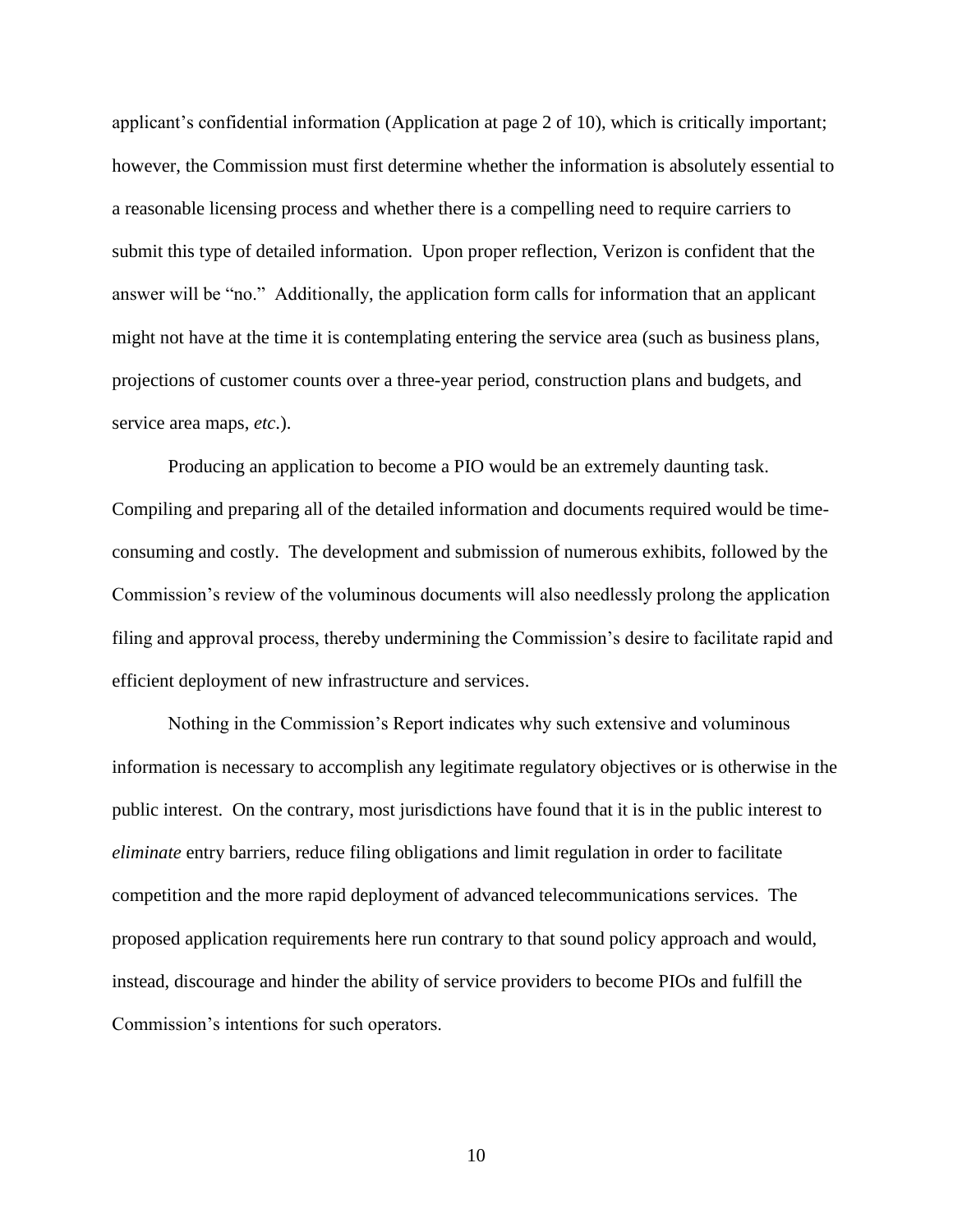applicant's confidential information (Application at page 2 of 10), which is critically important; however, the Commission must first determine whether the information is absolutely essential to a reasonable licensing process and whether there is a compelling need to require carriers to submit this type of detailed information. Upon proper reflection, Verizon is confident that the answer will be "no." Additionally, the application form calls for information that an applicant might not have at the time it is contemplating entering the service area (such as business plans, projections of customer counts over a three-year period, construction plans and budgets, and service area maps, *etc*.).

Producing an application to become a PIO would be an extremely daunting task. Compiling and preparing all of the detailed information and documents required would be timeconsuming and costly. The development and submission of numerous exhibits, followed by the Commission's review of the voluminous documents will also needlessly prolong the application filing and approval process, thereby undermining the Commission's desire to facilitate rapid and efficient deployment of new infrastructure and services.

Nothing in the Commission's Report indicates why such extensive and voluminous information is necessary to accomplish any legitimate regulatory objectives or is otherwise in the public interest. On the contrary, most jurisdictions have found that it is in the public interest to *eliminate* entry barriers, reduce filing obligations and limit regulation in order to facilitate competition and the more rapid deployment of advanced telecommunications services. The proposed application requirements here run contrary to that sound policy approach and would, instead, discourage and hinder the ability of service providers to become PIOs and fulfill the Commission's intentions for such operators.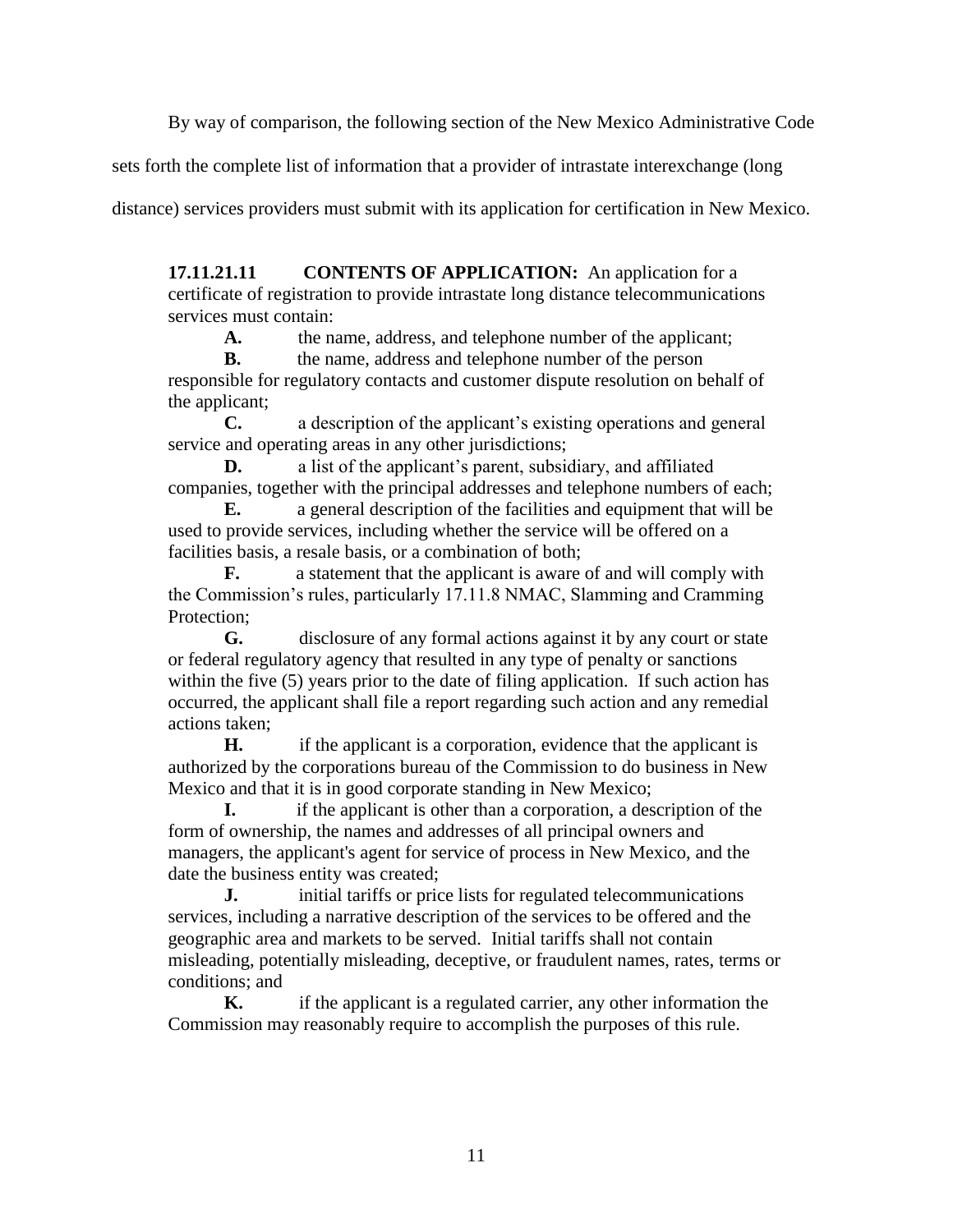By way of comparison, the following section of the New Mexico Administrative Code

sets forth the complete list of information that a provider of intrastate interexchange (long

distance) services providers must submit with its application for certification in New Mexico.

**17.11.21.11 CONTENTS OF APPLICATION:** An application for a certificate of registration to provide intrastate long distance telecommunications services must contain:

A. the name, address, and telephone number of the applicant;

**B.** the name, address and telephone number of the person responsible for regulatory contacts and customer dispute resolution on behalf of the applicant;

**C.** a description of the applicant's existing operations and general service and operating areas in any other jurisdictions;

**D.** a list of the applicant's parent, subsidiary, and affiliated companies, together with the principal addresses and telephone numbers of each;

**E.** a general description of the facilities and equipment that will be used to provide services, including whether the service will be offered on a facilities basis, a resale basis, or a combination of both;

**F.** a statement that the applicant is aware of and will comply with the Commission's rules, particularly 17.11.8 NMAC, Slamming and Cramming Protection;

**G.** disclosure of any formal actions against it by any court or state or federal regulatory agency that resulted in any type of penalty or sanctions within the five (5) years prior to the date of filing application. If such action has occurred, the applicant shall file a report regarding such action and any remedial actions taken;

**H.** if the applicant is a corporation, evidence that the applicant is authorized by the corporations bureau of the Commission to do business in New Mexico and that it is in good corporate standing in New Mexico;

**I.** if the applicant is other than a corporation, a description of the form of ownership, the names and addresses of all principal owners and managers, the applicant's agent for service of process in New Mexico, and the date the business entity was created;

**J.** initial tariffs or price lists for regulated telecommunications services, including a narrative description of the services to be offered and the geographic area and markets to be served. Initial tariffs shall not contain misleading, potentially misleading, deceptive, or fraudulent names, rates, terms or conditions; and

**K.** if the applicant is a regulated carrier, any other information the Commission may reasonably require to accomplish the purposes of this rule.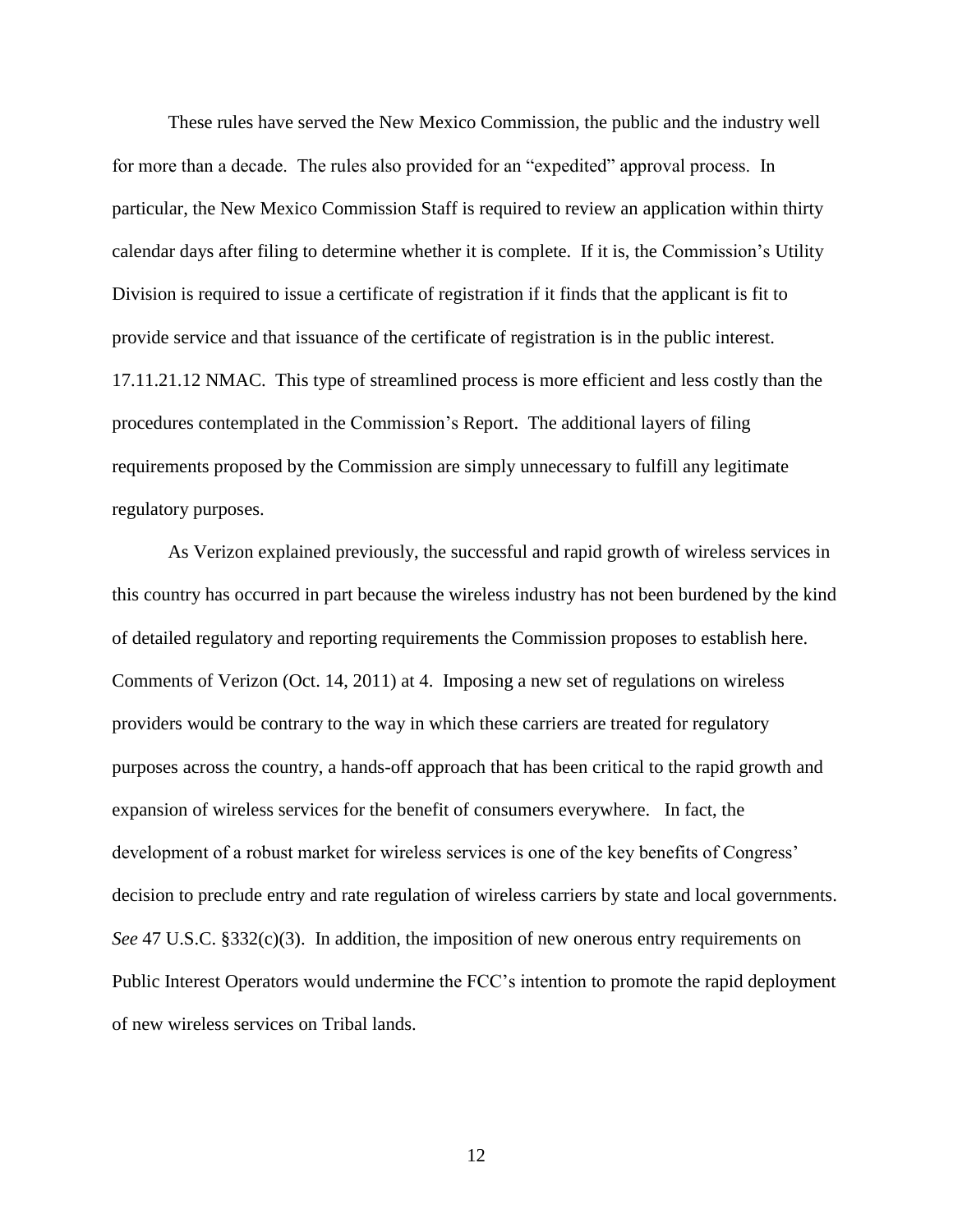These rules have served the New Mexico Commission, the public and the industry well for more than a decade. The rules also provided for an "expedited" approval process. In particular, the New Mexico Commission Staff is required to review an application within thirty calendar days after filing to determine whether it is complete. If it is, the Commission's Utility Division is required to issue a certificate of registration if it finds that the applicant is fit to provide service and that issuance of the certificate of registration is in the public interest. 17.11.21.12 NMAC. This type of streamlined process is more efficient and less costly than the procedures contemplated in the Commission's Report. The additional layers of filing requirements proposed by the Commission are simply unnecessary to fulfill any legitimate regulatory purposes.

As Verizon explained previously, the successful and rapid growth of wireless services in this country has occurred in part because the wireless industry has not been burdened by the kind of detailed regulatory and reporting requirements the Commission proposes to establish here. Comments of Verizon (Oct. 14, 2011) at 4. Imposing a new set of regulations on wireless providers would be contrary to the way in which these carriers are treated for regulatory purposes across the country, a hands-off approach that has been critical to the rapid growth and expansion of wireless services for the benefit of consumers everywhere. In fact, the development of a robust market for wireless services is one of the key benefits of Congress' decision to preclude entry and rate regulation of wireless carriers by state and local governments. *See* 47 U.S.C. §332(c)(3). In addition, the imposition of new onerous entry requirements on Public Interest Operators would undermine the FCC's intention to promote the rapid deployment of new wireless services on Tribal lands.